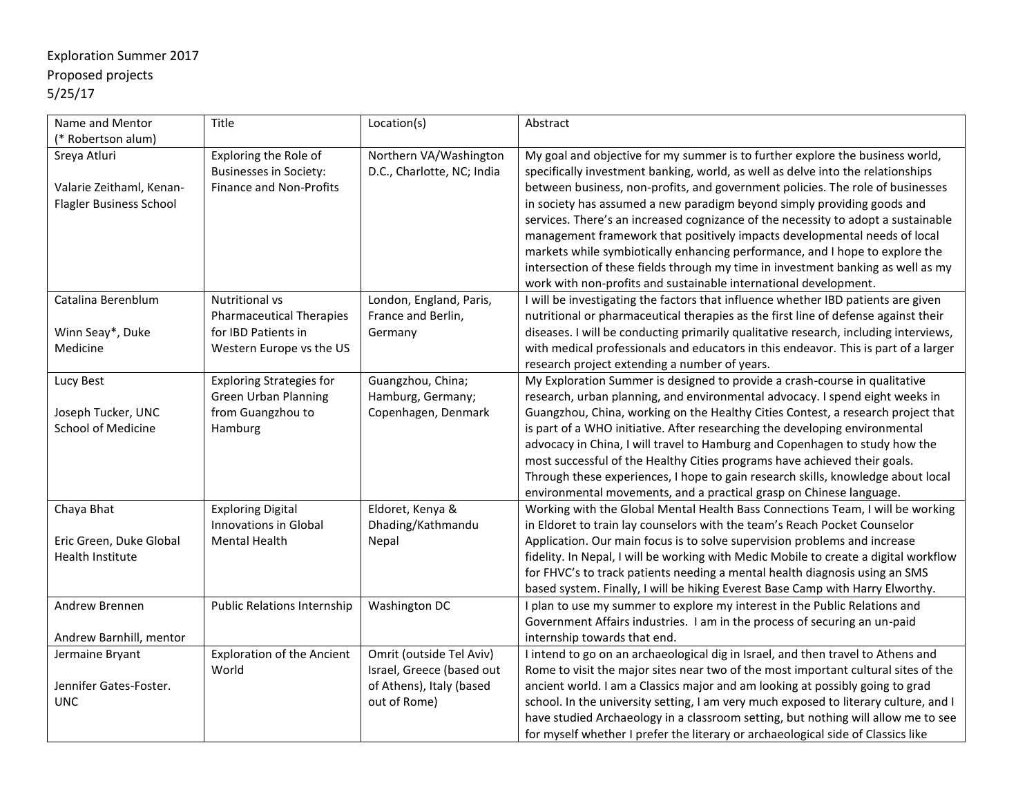## Exploration Summer 2017 Proposed projects 5/25/17

| Name and Mentor                                                            | Title                                                                             | Location(s)                                          | Abstract                                                                                                                                                                                                                                                                                                                                                                                                           |
|----------------------------------------------------------------------------|-----------------------------------------------------------------------------------|------------------------------------------------------|--------------------------------------------------------------------------------------------------------------------------------------------------------------------------------------------------------------------------------------------------------------------------------------------------------------------------------------------------------------------------------------------------------------------|
| (* Robertson alum)                                                         |                                                                                   |                                                      |                                                                                                                                                                                                                                                                                                                                                                                                                    |
| Sreya Atluri<br>Valarie Zeithaml, Kenan-<br><b>Flagler Business School</b> | Exploring the Role of<br><b>Businesses in Society:</b><br>Finance and Non-Profits | Northern VA/Washington<br>D.C., Charlotte, NC; India | My goal and objective for my summer is to further explore the business world,<br>specifically investment banking, world, as well as delve into the relationships<br>between business, non-profits, and government policies. The role of businesses<br>in society has assumed a new paradigm beyond simply providing goods and<br>services. There's an increased cognizance of the necessity to adopt a sustainable |
|                                                                            |                                                                                   |                                                      | management framework that positively impacts developmental needs of local<br>markets while symbiotically enhancing performance, and I hope to explore the<br>intersection of these fields through my time in investment banking as well as my<br>work with non-profits and sustainable international development.                                                                                                  |
| Catalina Berenblum                                                         | Nutritional vs<br><b>Pharmaceutical Therapies</b>                                 | London, England, Paris,<br>France and Berlin,        | I will be investigating the factors that influence whether IBD patients are given<br>nutritional or pharmaceutical therapies as the first line of defense against their                                                                                                                                                                                                                                            |
| Winn Seay*, Duke                                                           | for IBD Patients in                                                               | Germany                                              | diseases. I will be conducting primarily qualitative research, including interviews,                                                                                                                                                                                                                                                                                                                               |
| Medicine                                                                   | Western Europe vs the US                                                          |                                                      | with medical professionals and educators in this endeavor. This is part of a larger<br>research project extending a number of years.                                                                                                                                                                                                                                                                               |
| Lucy Best                                                                  | <b>Exploring Strategies for</b>                                                   | Guangzhou, China;                                    | My Exploration Summer is designed to provide a crash-course in qualitative                                                                                                                                                                                                                                                                                                                                         |
| Joseph Tucker, UNC                                                         | <b>Green Urban Planning</b><br>from Guangzhou to                                  | Hamburg, Germany;<br>Copenhagen, Denmark             | research, urban planning, and environmental advocacy. I spend eight weeks in<br>Guangzhou, China, working on the Healthy Cities Contest, a research project that                                                                                                                                                                                                                                                   |
| <b>School of Medicine</b>                                                  | Hamburg                                                                           |                                                      | is part of a WHO initiative. After researching the developing environmental                                                                                                                                                                                                                                                                                                                                        |
|                                                                            |                                                                                   |                                                      | advocacy in China, I will travel to Hamburg and Copenhagen to study how the                                                                                                                                                                                                                                                                                                                                        |
|                                                                            |                                                                                   |                                                      | most successful of the Healthy Cities programs have achieved their goals.                                                                                                                                                                                                                                                                                                                                          |
|                                                                            |                                                                                   |                                                      | Through these experiences, I hope to gain research skills, knowledge about local                                                                                                                                                                                                                                                                                                                                   |
|                                                                            |                                                                                   |                                                      | environmental movements, and a practical grasp on Chinese language.                                                                                                                                                                                                                                                                                                                                                |
| Chaya Bhat                                                                 | <b>Exploring Digital</b><br><b>Innovations in Global</b>                          | Eldoret, Kenya &<br>Dhading/Kathmandu                | Working with the Global Mental Health Bass Connections Team, I will be working<br>in Eldoret to train lay counselors with the team's Reach Pocket Counselor                                                                                                                                                                                                                                                        |
| Eric Green, Duke Global                                                    | <b>Mental Health</b>                                                              | Nepal                                                | Application. Our main focus is to solve supervision problems and increase                                                                                                                                                                                                                                                                                                                                          |
| Health Institute                                                           |                                                                                   |                                                      | fidelity. In Nepal, I will be working with Medic Mobile to create a digital workflow                                                                                                                                                                                                                                                                                                                               |
|                                                                            |                                                                                   |                                                      | for FHVC's to track patients needing a mental health diagnosis using an SMS                                                                                                                                                                                                                                                                                                                                        |
|                                                                            |                                                                                   |                                                      | based system. Finally, I will be hiking Everest Base Camp with Harry Elworthy.                                                                                                                                                                                                                                                                                                                                     |
| Andrew Brennen                                                             | Public Relations Internship                                                       | Washington DC                                        | I plan to use my summer to explore my interest in the Public Relations and<br>Government Affairs industries. I am in the process of securing an un-paid                                                                                                                                                                                                                                                            |
| Andrew Barnhill, mentor                                                    |                                                                                   |                                                      | internship towards that end.                                                                                                                                                                                                                                                                                                                                                                                       |
| Jermaine Bryant                                                            | <b>Exploration of the Ancient</b>                                                 | Omrit (outside Tel Aviv)                             | I intend to go on an archaeological dig in Israel, and then travel to Athens and                                                                                                                                                                                                                                                                                                                                   |
|                                                                            | World                                                                             | Israel, Greece (based out                            | Rome to visit the major sites near two of the most important cultural sites of the                                                                                                                                                                                                                                                                                                                                 |
| Jennifer Gates-Foster.                                                     |                                                                                   | of Athens), Italy (based                             | ancient world. I am a Classics major and am looking at possibly going to grad                                                                                                                                                                                                                                                                                                                                      |
| <b>UNC</b>                                                                 |                                                                                   | out of Rome)                                         | school. In the university setting, I am very much exposed to literary culture, and I                                                                                                                                                                                                                                                                                                                               |
|                                                                            |                                                                                   |                                                      | have studied Archaeology in a classroom setting, but nothing will allow me to see                                                                                                                                                                                                                                                                                                                                  |
|                                                                            |                                                                                   |                                                      | for myself whether I prefer the literary or archaeological side of Classics like                                                                                                                                                                                                                                                                                                                                   |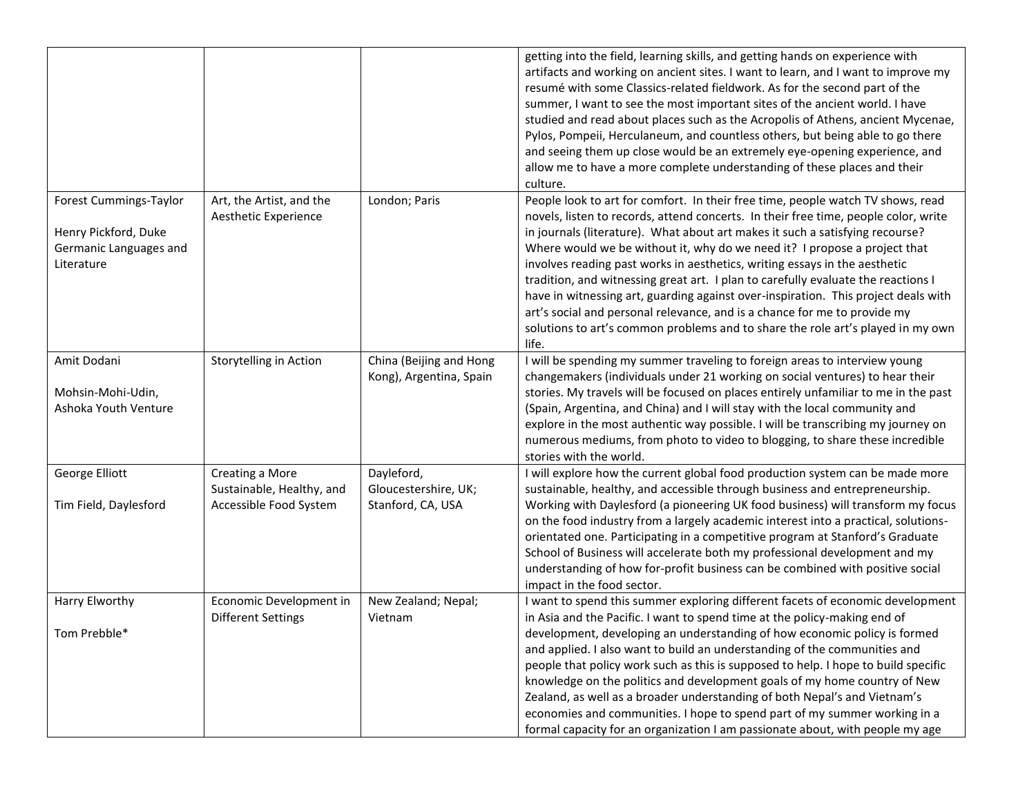|                                                                                        |                                                                        |                                                         | getting into the field, learning skills, and getting hands on experience with<br>artifacts and working on ancient sites. I want to learn, and I want to improve my<br>resumé with some Classics-related fieldwork. As for the second part of the<br>summer, I want to see the most important sites of the ancient world. I have<br>studied and read about places such as the Acropolis of Athens, ancient Mycenae,<br>Pylos, Pompeii, Herculaneum, and countless others, but being able to go there<br>and seeing them up close would be an extremely eye-opening experience, and<br>allow me to have a more complete understanding of these places and their<br>culture.                                                                                              |
|----------------------------------------------------------------------------------------|------------------------------------------------------------------------|---------------------------------------------------------|------------------------------------------------------------------------------------------------------------------------------------------------------------------------------------------------------------------------------------------------------------------------------------------------------------------------------------------------------------------------------------------------------------------------------------------------------------------------------------------------------------------------------------------------------------------------------------------------------------------------------------------------------------------------------------------------------------------------------------------------------------------------|
| Forest Cummings-Taylor<br>Henry Pickford, Duke<br>Germanic Languages and<br>Literature | Art, the Artist, and the<br>Aesthetic Experience                       | London; Paris                                           | People look to art for comfort. In their free time, people watch TV shows, read<br>novels, listen to records, attend concerts. In their free time, people color, write<br>in journals (literature). What about art makes it such a satisfying recourse?<br>Where would we be without it, why do we need it? I propose a project that<br>involves reading past works in aesthetics, writing essays in the aesthetic<br>tradition, and witnessing great art. I plan to carefully evaluate the reactions I<br>have in witnessing art, guarding against over-inspiration. This project deals with<br>art's social and personal relevance, and is a chance for me to provide my<br>solutions to art's common problems and to share the role art's played in my own<br>life. |
| Amit Dodani<br>Mohsin-Mohi-Udin,<br>Ashoka Youth Venture                               | Storytelling in Action                                                 | China (Beijing and Hong<br>Kong), Argentina, Spain      | I will be spending my summer traveling to foreign areas to interview young<br>changemakers (individuals under 21 working on social ventures) to hear their<br>stories. My travels will be focused on places entirely unfamiliar to me in the past<br>(Spain, Argentina, and China) and I will stay with the local community and<br>explore in the most authentic way possible. I will be transcribing my journey on<br>numerous mediums, from photo to video to blogging, to share these incredible<br>stories with the world.                                                                                                                                                                                                                                         |
| George Elliott<br>Tim Field, Daylesford                                                | Creating a More<br>Sustainable, Healthy, and<br>Accessible Food System | Dayleford,<br>Gloucestershire, UK;<br>Stanford, CA, USA | I will explore how the current global food production system can be made more<br>sustainable, healthy, and accessible through business and entrepreneurship.<br>Working with Daylesford (a pioneering UK food business) will transform my focus<br>on the food industry from a largely academic interest into a practical, solutions-<br>orientated one. Participating in a competitive program at Stanford's Graduate<br>School of Business will accelerate both my professional development and my<br>understanding of how for-profit business can be combined with positive social<br>impact in the food sector.                                                                                                                                                    |
| Harry Elworthy<br>Tom Prebble*                                                         | Economic Development in<br><b>Different Settings</b>                   | New Zealand; Nepal;<br>Vietnam                          | I want to spend this summer exploring different facets of economic development<br>in Asia and the Pacific. I want to spend time at the policy-making end of<br>development, developing an understanding of how economic policy is formed<br>and applied. I also want to build an understanding of the communities and<br>people that policy work such as this is supposed to help. I hope to build specific<br>knowledge on the politics and development goals of my home country of New<br>Zealand, as well as a broader understanding of both Nepal's and Vietnam's<br>economies and communities. I hope to spend part of my summer working in a<br>formal capacity for an organization I am passionate about, with people my age                                    |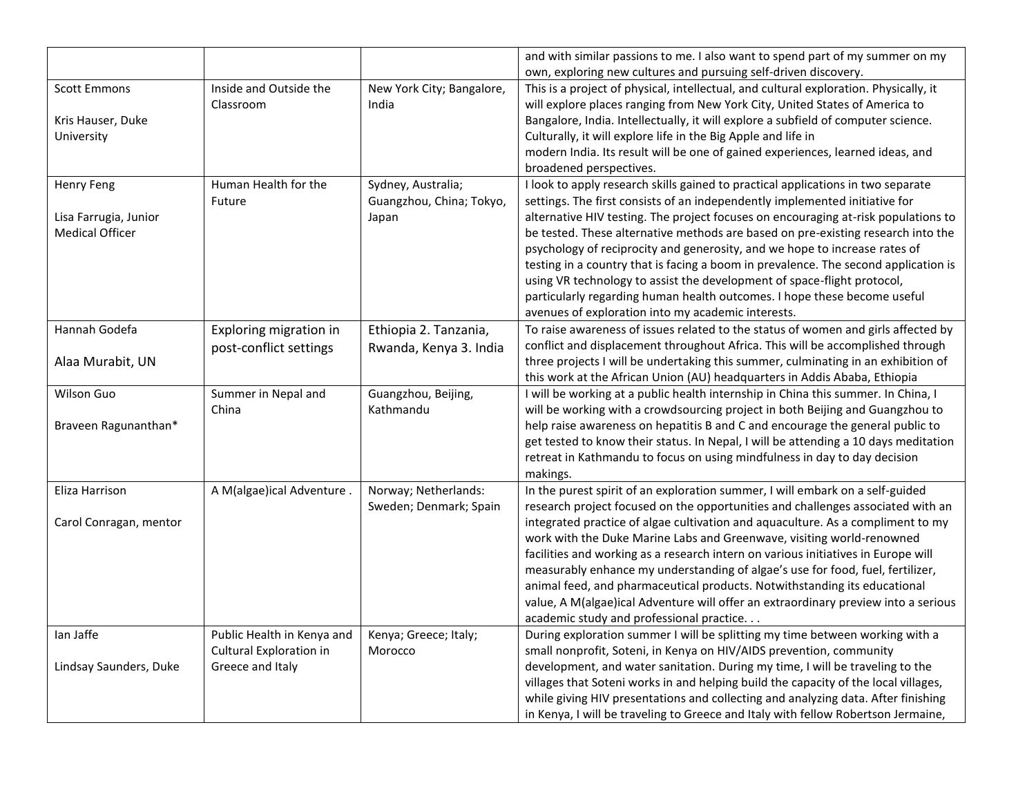|                                                                      |                                                                           |                                                         | and with similar passions to me. I also want to spend part of my summer on my<br>own, exploring new cultures and pursuing self-driven discovery.                                                                                                                                                                                                                                                                                                                                                                                                                                                                                                                                                                            |
|----------------------------------------------------------------------|---------------------------------------------------------------------------|---------------------------------------------------------|-----------------------------------------------------------------------------------------------------------------------------------------------------------------------------------------------------------------------------------------------------------------------------------------------------------------------------------------------------------------------------------------------------------------------------------------------------------------------------------------------------------------------------------------------------------------------------------------------------------------------------------------------------------------------------------------------------------------------------|
| <b>Scott Emmons</b><br>Kris Hauser, Duke<br>University               | Inside and Outside the<br>Classroom                                       | New York City; Bangalore,<br>India                      | This is a project of physical, intellectual, and cultural exploration. Physically, it<br>will explore places ranging from New York City, United States of America to<br>Bangalore, India. Intellectually, it will explore a subfield of computer science.<br>Culturally, it will explore life in the Big Apple and life in<br>modern India. Its result will be one of gained experiences, learned ideas, and<br>broadened perspectives.                                                                                                                                                                                                                                                                                     |
| <b>Henry Feng</b><br>Lisa Farrugia, Junior<br><b>Medical Officer</b> | Human Health for the<br>Future                                            | Sydney, Australia;<br>Guangzhou, China; Tokyo,<br>Japan | I look to apply research skills gained to practical applications in two separate<br>settings. The first consists of an independently implemented initiative for<br>alternative HIV testing. The project focuses on encouraging at-risk populations to<br>be tested. These alternative methods are based on pre-existing research into the<br>psychology of reciprocity and generosity, and we hope to increase rates of<br>testing in a country that is facing a boom in prevalence. The second application is<br>using VR technology to assist the development of space-flight protocol,<br>particularly regarding human health outcomes. I hope these become useful<br>avenues of exploration into my academic interests. |
| Hannah Godefa<br>Alaa Murabit, UN                                    | Exploring migration in<br>post-conflict settings                          | Ethiopia 2. Tanzania,<br>Rwanda, Kenya 3. India         | To raise awareness of issues related to the status of women and girls affected by<br>conflict and displacement throughout Africa. This will be accomplished through<br>three projects I will be undertaking this summer, culminating in an exhibition of<br>this work at the African Union (AU) headquarters in Addis Ababa, Ethiopia                                                                                                                                                                                                                                                                                                                                                                                       |
| Wilson Guo<br>Braveen Ragunanthan*                                   | Summer in Nepal and<br>China                                              | Guangzhou, Beijing,<br>Kathmandu                        | I will be working at a public health internship in China this summer. In China, I<br>will be working with a crowdsourcing project in both Beijing and Guangzhou to<br>help raise awareness on hepatitis B and C and encourage the general public to<br>get tested to know their status. In Nepal, I will be attending a 10 days meditation<br>retreat in Kathmandu to focus on using mindfulness in day to day decision<br>makings.                                                                                                                                                                                                                                                                                         |
| Eliza Harrison<br>Carol Conragan, mentor                             | A M(algae)ical Adventure.                                                 | Norway; Netherlands:<br>Sweden; Denmark; Spain          | In the purest spirit of an exploration summer, I will embark on a self-guided<br>research project focused on the opportunities and challenges associated with an<br>integrated practice of algae cultivation and aquaculture. As a compliment to my<br>work with the Duke Marine Labs and Greenwave, visiting world-renowned<br>facilities and working as a research intern on various initiatives in Europe will<br>measurably enhance my understanding of algae's use for food, fuel, fertilizer,<br>animal feed, and pharmaceutical products. Notwithstanding its educational<br>value, A M(algae)ical Adventure will offer an extraordinary preview into a serious<br>academic study and professional practice          |
| lan Jaffe<br>Lindsay Saunders, Duke                                  | Public Health in Kenya and<br>Cultural Exploration in<br>Greece and Italy | Kenya; Greece; Italy;<br>Morocco                        | During exploration summer I will be splitting my time between working with a<br>small nonprofit, Soteni, in Kenya on HIV/AIDS prevention, community<br>development, and water sanitation. During my time, I will be traveling to the<br>villages that Soteni works in and helping build the capacity of the local villages,<br>while giving HIV presentations and collecting and analyzing data. After finishing<br>in Kenya, I will be traveling to Greece and Italy with fellow Robertson Jermaine,                                                                                                                                                                                                                       |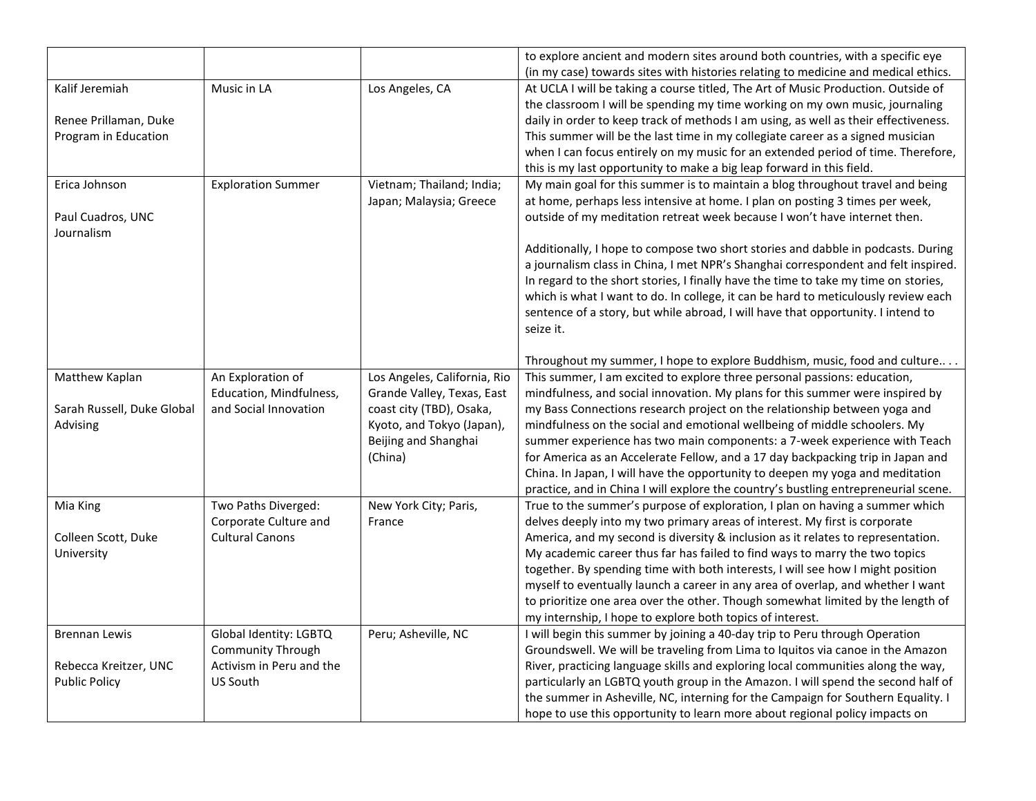|                            |                           |                              | to explore ancient and modern sites around both countries, with a specific eye      |
|----------------------------|---------------------------|------------------------------|-------------------------------------------------------------------------------------|
|                            |                           |                              | (in my case) towards sites with histories relating to medicine and medical ethics.  |
| Kalif Jeremiah             | Music in LA               | Los Angeles, CA              | At UCLA I will be taking a course titled, The Art of Music Production. Outside of   |
|                            |                           |                              | the classroom I will be spending my time working on my own music, journaling        |
| Renee Prillaman, Duke      |                           |                              | daily in order to keep track of methods I am using, as well as their effectiveness. |
| Program in Education       |                           |                              | This summer will be the last time in my collegiate career as a signed musician      |
|                            |                           |                              | when I can focus entirely on my music for an extended period of time. Therefore,    |
|                            |                           |                              | this is my last opportunity to make a big leap forward in this field.               |
| Erica Johnson              | <b>Exploration Summer</b> | Vietnam; Thailand; India;    | My main goal for this summer is to maintain a blog throughout travel and being      |
|                            |                           | Japan; Malaysia; Greece      | at home, perhaps less intensive at home. I plan on posting 3 times per week,        |
| Paul Cuadros, UNC          |                           |                              | outside of my meditation retreat week because I won't have internet then.           |
| Journalism                 |                           |                              |                                                                                     |
|                            |                           |                              | Additionally, I hope to compose two short stories and dabble in podcasts. During    |
|                            |                           |                              | a journalism class in China, I met NPR's Shanghai correspondent and felt inspired.  |
|                            |                           |                              | In regard to the short stories, I finally have the time to take my time on stories, |
|                            |                           |                              | which is what I want to do. In college, it can be hard to meticulously review each  |
|                            |                           |                              | sentence of a story, but while abroad, I will have that opportunity. I intend to    |
|                            |                           |                              | seize it.                                                                           |
|                            |                           |                              |                                                                                     |
|                            |                           |                              | Throughout my summer, I hope to explore Buddhism, music, food and culture           |
| Matthew Kaplan             | An Exploration of         | Los Angeles, California, Rio | This summer, I am excited to explore three personal passions: education,            |
|                            | Education, Mindfulness,   | Grande Valley, Texas, East   | mindfulness, and social innovation. My plans for this summer were inspired by       |
| Sarah Russell, Duke Global | and Social Innovation     | coast city (TBD), Osaka,     | my Bass Connections research project on the relationship between yoga and           |
| Advising                   |                           | Kyoto, and Tokyo (Japan),    | mindfulness on the social and emotional wellbeing of middle schoolers. My           |
|                            |                           | Beijing and Shanghai         | summer experience has two main components: a 7-week experience with Teach           |
|                            |                           | (China)                      | for America as an Accelerate Fellow, and a 17 day backpacking trip in Japan and     |
|                            |                           |                              | China. In Japan, I will have the opportunity to deepen my yoga and meditation       |
|                            |                           |                              | practice, and in China I will explore the country's bustling entrepreneurial scene. |
| Mia King                   | Two Paths Diverged:       | New York City; Paris,        | True to the summer's purpose of exploration, I plan on having a summer which        |
|                            | Corporate Culture and     | France                       | delves deeply into my two primary areas of interest. My first is corporate          |
| Colleen Scott, Duke        | <b>Cultural Canons</b>    |                              | America, and my second is diversity & inclusion as it relates to representation.    |
| University                 |                           |                              | My academic career thus far has failed to find ways to marry the two topics         |
|                            |                           |                              | together. By spending time with both interests, I will see how I might position     |
|                            |                           |                              | myself to eventually launch a career in any area of overlap, and whether I want     |
|                            |                           |                              | to prioritize one area over the other. Though somewhat limited by the length of     |
|                            |                           |                              | my internship, I hope to explore both topics of interest.                           |
| <b>Brennan Lewis</b>       | Global Identity: LGBTQ    | Peru; Asheville, NC          | I will begin this summer by joining a 40-day trip to Peru through Operation         |
|                            | <b>Community Through</b>  |                              | Groundswell. We will be traveling from Lima to Iquitos via canoe in the Amazon      |
| Rebecca Kreitzer, UNC      | Activism in Peru and the  |                              | River, practicing language skills and exploring local communities along the way,    |
| <b>Public Policy</b>       | <b>US South</b>           |                              | particularly an LGBTQ youth group in the Amazon. I will spend the second half of    |
|                            |                           |                              | the summer in Asheville, NC, interning for the Campaign for Southern Equality. I    |
|                            |                           |                              | hope to use this opportunity to learn more about regional policy impacts on         |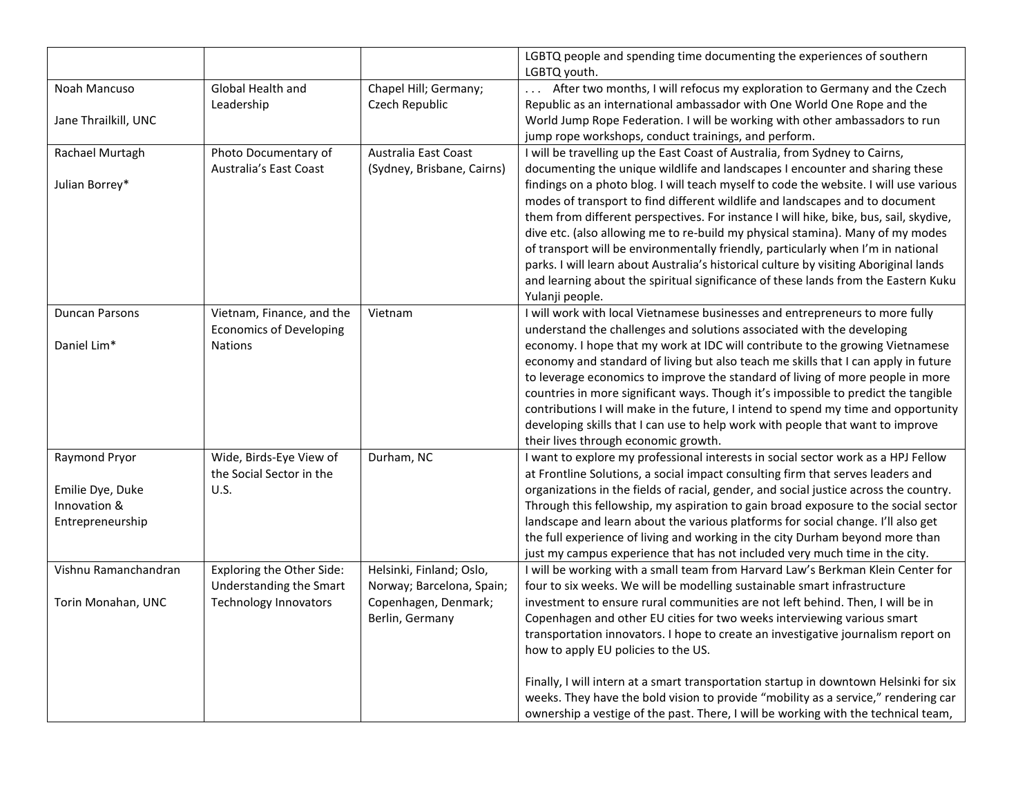|                       |                                |                            | LGBTQ people and spending time documenting the experiences of southern<br>LGBTQ youth. |
|-----------------------|--------------------------------|----------------------------|----------------------------------------------------------------------------------------|
| Noah Mancuso          | Global Health and              | Chapel Hill; Germany;      | After two months, I will refocus my exploration to Germany and the Czech               |
|                       | Leadership                     | Czech Republic             | Republic as an international ambassador with One World One Rope and the                |
| Jane Thrailkill, UNC  |                                |                            | World Jump Rope Federation. I will be working with other ambassadors to run            |
|                       |                                |                            | jump rope workshops, conduct trainings, and perform.                                   |
| Rachael Murtagh       | Photo Documentary of           | Australia East Coast       | I will be travelling up the East Coast of Australia, from Sydney to Cairns,            |
|                       | <b>Australia's East Coast</b>  | (Sydney, Brisbane, Cairns) | documenting the unique wildlife and landscapes I encounter and sharing these           |
| Julian Borrey*        |                                |                            | findings on a photo blog. I will teach myself to code the website. I will use various  |
|                       |                                |                            | modes of transport to find different wildlife and landscapes and to document           |
|                       |                                |                            | them from different perspectives. For instance I will hike, bike, bus, sail, skydive,  |
|                       |                                |                            | dive etc. (also allowing me to re-build my physical stamina). Many of my modes         |
|                       |                                |                            | of transport will be environmentally friendly, particularly when I'm in national       |
|                       |                                |                            | parks. I will learn about Australia's historical culture by visiting Aboriginal lands  |
|                       |                                |                            | and learning about the spiritual significance of these lands from the Eastern Kuku     |
|                       |                                |                            | Yulanji people.                                                                        |
| <b>Duncan Parsons</b> | Vietnam, Finance, and the      | Vietnam                    | I will work with local Vietnamese businesses and entrepreneurs to more fully           |
|                       | <b>Economics of Developing</b> |                            | understand the challenges and solutions associated with the developing                 |
| Daniel Lim*           | <b>Nations</b>                 |                            | economy. I hope that my work at IDC will contribute to the growing Vietnamese          |
|                       |                                |                            | economy and standard of living but also teach me skills that I can apply in future     |
|                       |                                |                            | to leverage economics to improve the standard of living of more people in more         |
|                       |                                |                            | countries in more significant ways. Though it's impossible to predict the tangible     |
|                       |                                |                            | contributions I will make in the future, I intend to spend my time and opportunity     |
|                       |                                |                            | developing skills that I can use to help work with people that want to improve         |
|                       |                                |                            | their lives through economic growth.                                                   |
| Raymond Pryor         | Wide, Birds-Eye View of        | Durham, NC                 | I want to explore my professional interests in social sector work as a HPJ Fellow      |
|                       | the Social Sector in the       |                            | at Frontline Solutions, a social impact consulting firm that serves leaders and        |
| Emilie Dye, Duke      | U.S.                           |                            | organizations in the fields of racial, gender, and social justice across the country.  |
| Innovation &          |                                |                            | Through this fellowship, my aspiration to gain broad exposure to the social sector     |
| Entrepreneurship      |                                |                            | landscape and learn about the various platforms for social change. I'll also get       |
|                       |                                |                            | the full experience of living and working in the city Durham beyond more than          |
|                       |                                |                            | just my campus experience that has not included very much time in the city.            |
| Vishnu Ramanchandran  | Exploring the Other Side:      | Helsinki, Finland; Oslo,   | I will be working with a small team from Harvard Law's Berkman Klein Center for        |
|                       | Understanding the Smart        | Norway; Barcelona, Spain;  | four to six weeks. We will be modelling sustainable smart infrastructure               |
| Torin Monahan, UNC    | <b>Technology Innovators</b>   | Copenhagen, Denmark;       | investment to ensure rural communities are not left behind. Then, I will be in         |
|                       |                                | Berlin, Germany            | Copenhagen and other EU cities for two weeks interviewing various smart                |
|                       |                                |                            | transportation innovators. I hope to create an investigative journalism report on      |
|                       |                                |                            | how to apply EU policies to the US.                                                    |
|                       |                                |                            | Finally, I will intern at a smart transportation startup in downtown Helsinki for six  |
|                       |                                |                            | weeks. They have the bold vision to provide "mobility as a service," rendering car     |
|                       |                                |                            | ownership a vestige of the past. There, I will be working with the technical team,     |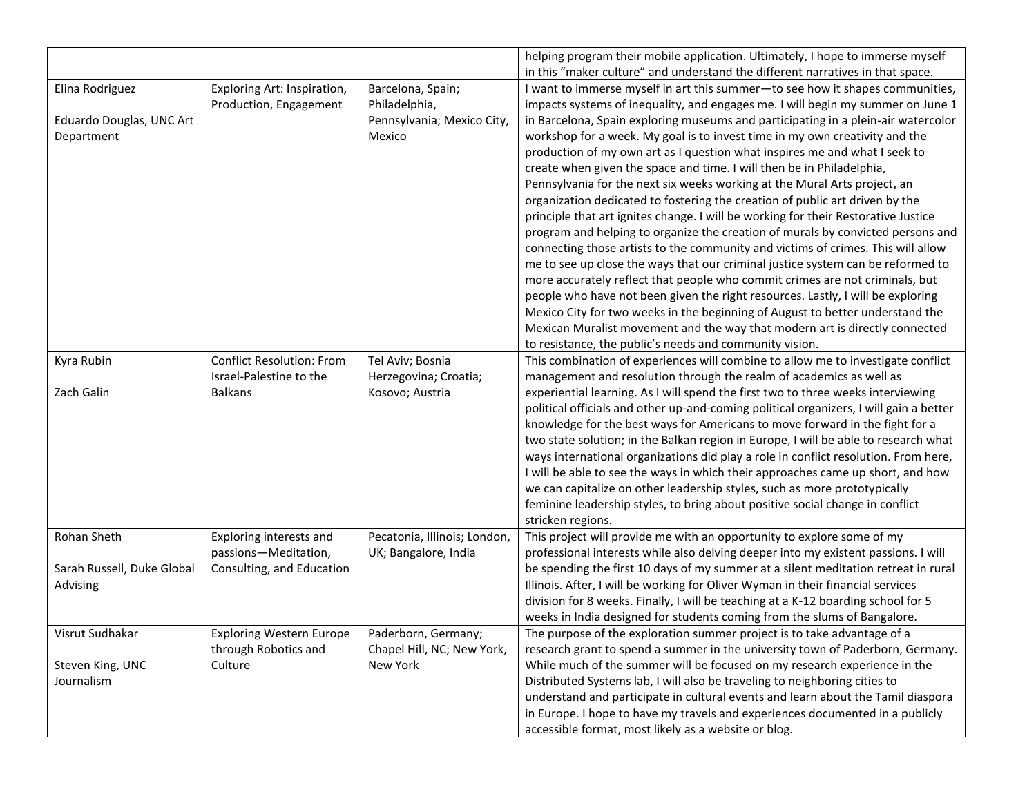| helping program their mobile application. Ultimately, I hope to immerse myself<br>in this "maker culture" and understand the different narratives in that space.<br>I want to immerse myself in art this summer-to see how it shapes communities,<br>Elina Rodriguez<br>Exploring Art: Inspiration,<br>Barcelona, Spain;<br>Production, Engagement<br>Philadelphia,<br>impacts systems of inequality, and engages me. I will begin my summer on June 1<br>Eduardo Douglas, UNC Art<br>Pennsylvania; Mexico City,<br>in Barcelona, Spain exploring museums and participating in a plein-air watercolor<br>Department<br>workshop for a week. My goal is to invest time in my own creativity and the<br>Mexico<br>production of my own art as I question what inspires me and what I seek to<br>create when given the space and time. I will then be in Philadelphia,<br>Pennsylvania for the next six weeks working at the Mural Arts project, an<br>organization dedicated to fostering the creation of public art driven by the<br>principle that art ignites change. I will be working for their Restorative Justice<br>program and helping to organize the creation of murals by convicted persons and<br>connecting those artists to the community and victims of crimes. This will allow<br>me to see up close the ways that our criminal justice system can be reformed to<br>more accurately reflect that people who commit crimes are not criminals, but<br>people who have not been given the right resources. Lastly, I will be exploring<br>Mexico City for two weeks in the beginning of August to better understand the<br>Mexican Muralist movement and the way that modern art is directly connected<br>to resistance, the public's needs and community vision.<br><b>Conflict Resolution: From</b><br>Tel Aviv; Bosnia<br>This combination of experiences will combine to allow me to investigate conflict<br>Kyra Rubin<br>Israel-Palestine to the |
|---------------------------------------------------------------------------------------------------------------------------------------------------------------------------------------------------------------------------------------------------------------------------------------------------------------------------------------------------------------------------------------------------------------------------------------------------------------------------------------------------------------------------------------------------------------------------------------------------------------------------------------------------------------------------------------------------------------------------------------------------------------------------------------------------------------------------------------------------------------------------------------------------------------------------------------------------------------------------------------------------------------------------------------------------------------------------------------------------------------------------------------------------------------------------------------------------------------------------------------------------------------------------------------------------------------------------------------------------------------------------------------------------------------------------------------------------------------------------------------------------------------------------------------------------------------------------------------------------------------------------------------------------------------------------------------------------------------------------------------------------------------------------------------------------------------------------------------------------------------------------------------------------------------------------------------------------------------------|
|                                                                                                                                                                                                                                                                                                                                                                                                                                                                                                                                                                                                                                                                                                                                                                                                                                                                                                                                                                                                                                                                                                                                                                                                                                                                                                                                                                                                                                                                                                                                                                                                                                                                                                                                                                                                                                                                                                                                                                     |
|                                                                                                                                                                                                                                                                                                                                                                                                                                                                                                                                                                                                                                                                                                                                                                                                                                                                                                                                                                                                                                                                                                                                                                                                                                                                                                                                                                                                                                                                                                                                                                                                                                                                                                                                                                                                                                                                                                                                                                     |
|                                                                                                                                                                                                                                                                                                                                                                                                                                                                                                                                                                                                                                                                                                                                                                                                                                                                                                                                                                                                                                                                                                                                                                                                                                                                                                                                                                                                                                                                                                                                                                                                                                                                                                                                                                                                                                                                                                                                                                     |
|                                                                                                                                                                                                                                                                                                                                                                                                                                                                                                                                                                                                                                                                                                                                                                                                                                                                                                                                                                                                                                                                                                                                                                                                                                                                                                                                                                                                                                                                                                                                                                                                                                                                                                                                                                                                                                                                                                                                                                     |
|                                                                                                                                                                                                                                                                                                                                                                                                                                                                                                                                                                                                                                                                                                                                                                                                                                                                                                                                                                                                                                                                                                                                                                                                                                                                                                                                                                                                                                                                                                                                                                                                                                                                                                                                                                                                                                                                                                                                                                     |
|                                                                                                                                                                                                                                                                                                                                                                                                                                                                                                                                                                                                                                                                                                                                                                                                                                                                                                                                                                                                                                                                                                                                                                                                                                                                                                                                                                                                                                                                                                                                                                                                                                                                                                                                                                                                                                                                                                                                                                     |
|                                                                                                                                                                                                                                                                                                                                                                                                                                                                                                                                                                                                                                                                                                                                                                                                                                                                                                                                                                                                                                                                                                                                                                                                                                                                                                                                                                                                                                                                                                                                                                                                                                                                                                                                                                                                                                                                                                                                                                     |
|                                                                                                                                                                                                                                                                                                                                                                                                                                                                                                                                                                                                                                                                                                                                                                                                                                                                                                                                                                                                                                                                                                                                                                                                                                                                                                                                                                                                                                                                                                                                                                                                                                                                                                                                                                                                                                                                                                                                                                     |
|                                                                                                                                                                                                                                                                                                                                                                                                                                                                                                                                                                                                                                                                                                                                                                                                                                                                                                                                                                                                                                                                                                                                                                                                                                                                                                                                                                                                                                                                                                                                                                                                                                                                                                                                                                                                                                                                                                                                                                     |
|                                                                                                                                                                                                                                                                                                                                                                                                                                                                                                                                                                                                                                                                                                                                                                                                                                                                                                                                                                                                                                                                                                                                                                                                                                                                                                                                                                                                                                                                                                                                                                                                                                                                                                                                                                                                                                                                                                                                                                     |
|                                                                                                                                                                                                                                                                                                                                                                                                                                                                                                                                                                                                                                                                                                                                                                                                                                                                                                                                                                                                                                                                                                                                                                                                                                                                                                                                                                                                                                                                                                                                                                                                                                                                                                                                                                                                                                                                                                                                                                     |
|                                                                                                                                                                                                                                                                                                                                                                                                                                                                                                                                                                                                                                                                                                                                                                                                                                                                                                                                                                                                                                                                                                                                                                                                                                                                                                                                                                                                                                                                                                                                                                                                                                                                                                                                                                                                                                                                                                                                                                     |
|                                                                                                                                                                                                                                                                                                                                                                                                                                                                                                                                                                                                                                                                                                                                                                                                                                                                                                                                                                                                                                                                                                                                                                                                                                                                                                                                                                                                                                                                                                                                                                                                                                                                                                                                                                                                                                                                                                                                                                     |
|                                                                                                                                                                                                                                                                                                                                                                                                                                                                                                                                                                                                                                                                                                                                                                                                                                                                                                                                                                                                                                                                                                                                                                                                                                                                                                                                                                                                                                                                                                                                                                                                                                                                                                                                                                                                                                                                                                                                                                     |
|                                                                                                                                                                                                                                                                                                                                                                                                                                                                                                                                                                                                                                                                                                                                                                                                                                                                                                                                                                                                                                                                                                                                                                                                                                                                                                                                                                                                                                                                                                                                                                                                                                                                                                                                                                                                                                                                                                                                                                     |
|                                                                                                                                                                                                                                                                                                                                                                                                                                                                                                                                                                                                                                                                                                                                                                                                                                                                                                                                                                                                                                                                                                                                                                                                                                                                                                                                                                                                                                                                                                                                                                                                                                                                                                                                                                                                                                                                                                                                                                     |
|                                                                                                                                                                                                                                                                                                                                                                                                                                                                                                                                                                                                                                                                                                                                                                                                                                                                                                                                                                                                                                                                                                                                                                                                                                                                                                                                                                                                                                                                                                                                                                                                                                                                                                                                                                                                                                                                                                                                                                     |
|                                                                                                                                                                                                                                                                                                                                                                                                                                                                                                                                                                                                                                                                                                                                                                                                                                                                                                                                                                                                                                                                                                                                                                                                                                                                                                                                                                                                                                                                                                                                                                                                                                                                                                                                                                                                                                                                                                                                                                     |
|                                                                                                                                                                                                                                                                                                                                                                                                                                                                                                                                                                                                                                                                                                                                                                                                                                                                                                                                                                                                                                                                                                                                                                                                                                                                                                                                                                                                                                                                                                                                                                                                                                                                                                                                                                                                                                                                                                                                                                     |
|                                                                                                                                                                                                                                                                                                                                                                                                                                                                                                                                                                                                                                                                                                                                                                                                                                                                                                                                                                                                                                                                                                                                                                                                                                                                                                                                                                                                                                                                                                                                                                                                                                                                                                                                                                                                                                                                                                                                                                     |
|                                                                                                                                                                                                                                                                                                                                                                                                                                                                                                                                                                                                                                                                                                                                                                                                                                                                                                                                                                                                                                                                                                                                                                                                                                                                                                                                                                                                                                                                                                                                                                                                                                                                                                                                                                                                                                                                                                                                                                     |
| Herzegovina; Croatia;<br>management and resolution through the realm of academics as well as                                                                                                                                                                                                                                                                                                                                                                                                                                                                                                                                                                                                                                                                                                                                                                                                                                                                                                                                                                                                                                                                                                                                                                                                                                                                                                                                                                                                                                                                                                                                                                                                                                                                                                                                                                                                                                                                        |
| Zach Galin<br>experiential learning. As I will spend the first two to three weeks interviewing<br><b>Balkans</b><br>Kosovo; Austria                                                                                                                                                                                                                                                                                                                                                                                                                                                                                                                                                                                                                                                                                                                                                                                                                                                                                                                                                                                                                                                                                                                                                                                                                                                                                                                                                                                                                                                                                                                                                                                                                                                                                                                                                                                                                                 |
| political officials and other up-and-coming political organizers, I will gain a better                                                                                                                                                                                                                                                                                                                                                                                                                                                                                                                                                                                                                                                                                                                                                                                                                                                                                                                                                                                                                                                                                                                                                                                                                                                                                                                                                                                                                                                                                                                                                                                                                                                                                                                                                                                                                                                                              |
| knowledge for the best ways for Americans to move forward in the fight for a                                                                                                                                                                                                                                                                                                                                                                                                                                                                                                                                                                                                                                                                                                                                                                                                                                                                                                                                                                                                                                                                                                                                                                                                                                                                                                                                                                                                                                                                                                                                                                                                                                                                                                                                                                                                                                                                                        |
| two state solution; in the Balkan region in Europe, I will be able to research what                                                                                                                                                                                                                                                                                                                                                                                                                                                                                                                                                                                                                                                                                                                                                                                                                                                                                                                                                                                                                                                                                                                                                                                                                                                                                                                                                                                                                                                                                                                                                                                                                                                                                                                                                                                                                                                                                 |
| ways international organizations did play a role in conflict resolution. From here,                                                                                                                                                                                                                                                                                                                                                                                                                                                                                                                                                                                                                                                                                                                                                                                                                                                                                                                                                                                                                                                                                                                                                                                                                                                                                                                                                                                                                                                                                                                                                                                                                                                                                                                                                                                                                                                                                 |
| I will be able to see the ways in which their approaches came up short, and how                                                                                                                                                                                                                                                                                                                                                                                                                                                                                                                                                                                                                                                                                                                                                                                                                                                                                                                                                                                                                                                                                                                                                                                                                                                                                                                                                                                                                                                                                                                                                                                                                                                                                                                                                                                                                                                                                     |
| we can capitalize on other leadership styles, such as more prototypically                                                                                                                                                                                                                                                                                                                                                                                                                                                                                                                                                                                                                                                                                                                                                                                                                                                                                                                                                                                                                                                                                                                                                                                                                                                                                                                                                                                                                                                                                                                                                                                                                                                                                                                                                                                                                                                                                           |
| feminine leadership styles, to bring about positive social change in conflict                                                                                                                                                                                                                                                                                                                                                                                                                                                                                                                                                                                                                                                                                                                                                                                                                                                                                                                                                                                                                                                                                                                                                                                                                                                                                                                                                                                                                                                                                                                                                                                                                                                                                                                                                                                                                                                                                       |
| stricken regions.                                                                                                                                                                                                                                                                                                                                                                                                                                                                                                                                                                                                                                                                                                                                                                                                                                                                                                                                                                                                                                                                                                                                                                                                                                                                                                                                                                                                                                                                                                                                                                                                                                                                                                                                                                                                                                                                                                                                                   |
| Rohan Sheth<br>Pecatonia, Illinois; London,<br>This project will provide me with an opportunity to explore some of my<br>Exploring interests and                                                                                                                                                                                                                                                                                                                                                                                                                                                                                                                                                                                                                                                                                                                                                                                                                                                                                                                                                                                                                                                                                                                                                                                                                                                                                                                                                                                                                                                                                                                                                                                                                                                                                                                                                                                                                    |
| passions-Meditation,<br>UK; Bangalore, India<br>professional interests while also delving deeper into my existent passions. I will                                                                                                                                                                                                                                                                                                                                                                                                                                                                                                                                                                                                                                                                                                                                                                                                                                                                                                                                                                                                                                                                                                                                                                                                                                                                                                                                                                                                                                                                                                                                                                                                                                                                                                                                                                                                                                  |
| Sarah Russell, Duke Global<br>Consulting, and Education<br>be spending the first 10 days of my summer at a silent meditation retreat in rural                                                                                                                                                                                                                                                                                                                                                                                                                                                                                                                                                                                                                                                                                                                                                                                                                                                                                                                                                                                                                                                                                                                                                                                                                                                                                                                                                                                                                                                                                                                                                                                                                                                                                                                                                                                                                       |
| Illinois. After, I will be working for Oliver Wyman in their financial services<br>Advising                                                                                                                                                                                                                                                                                                                                                                                                                                                                                                                                                                                                                                                                                                                                                                                                                                                                                                                                                                                                                                                                                                                                                                                                                                                                                                                                                                                                                                                                                                                                                                                                                                                                                                                                                                                                                                                                         |
| division for 8 weeks. Finally, I will be teaching at a K-12 boarding school for 5                                                                                                                                                                                                                                                                                                                                                                                                                                                                                                                                                                                                                                                                                                                                                                                                                                                                                                                                                                                                                                                                                                                                                                                                                                                                                                                                                                                                                                                                                                                                                                                                                                                                                                                                                                                                                                                                                   |
| weeks in India designed for students coming from the slums of Bangalore.                                                                                                                                                                                                                                                                                                                                                                                                                                                                                                                                                                                                                                                                                                                                                                                                                                                                                                                                                                                                                                                                                                                                                                                                                                                                                                                                                                                                                                                                                                                                                                                                                                                                                                                                                                                                                                                                                            |
| Visrut Sudhakar<br><b>Exploring Western Europe</b><br>Paderborn, Germany;<br>The purpose of the exploration summer project is to take advantage of a                                                                                                                                                                                                                                                                                                                                                                                                                                                                                                                                                                                                                                                                                                                                                                                                                                                                                                                                                                                                                                                                                                                                                                                                                                                                                                                                                                                                                                                                                                                                                                                                                                                                                                                                                                                                                |
| Chapel Hill, NC; New York,<br>research grant to spend a summer in the university town of Paderborn, Germany.<br>through Robotics and                                                                                                                                                                                                                                                                                                                                                                                                                                                                                                                                                                                                                                                                                                                                                                                                                                                                                                                                                                                                                                                                                                                                                                                                                                                                                                                                                                                                                                                                                                                                                                                                                                                                                                                                                                                                                                |
| While much of the summer will be focused on my research experience in the<br>Culture<br>New York<br>Steven King, UNC                                                                                                                                                                                                                                                                                                                                                                                                                                                                                                                                                                                                                                                                                                                                                                                                                                                                                                                                                                                                                                                                                                                                                                                                                                                                                                                                                                                                                                                                                                                                                                                                                                                                                                                                                                                                                                                |
| Journalism<br>Distributed Systems lab, I will also be traveling to neighboring cities to                                                                                                                                                                                                                                                                                                                                                                                                                                                                                                                                                                                                                                                                                                                                                                                                                                                                                                                                                                                                                                                                                                                                                                                                                                                                                                                                                                                                                                                                                                                                                                                                                                                                                                                                                                                                                                                                            |
| understand and participate in cultural events and learn about the Tamil diaspora                                                                                                                                                                                                                                                                                                                                                                                                                                                                                                                                                                                                                                                                                                                                                                                                                                                                                                                                                                                                                                                                                                                                                                                                                                                                                                                                                                                                                                                                                                                                                                                                                                                                                                                                                                                                                                                                                    |
| in Europe. I hope to have my travels and experiences documented in a publicly                                                                                                                                                                                                                                                                                                                                                                                                                                                                                                                                                                                                                                                                                                                                                                                                                                                                                                                                                                                                                                                                                                                                                                                                                                                                                                                                                                                                                                                                                                                                                                                                                                                                                                                                                                                                                                                                                       |
| accessible format, most likely as a website or blog.                                                                                                                                                                                                                                                                                                                                                                                                                                                                                                                                                                                                                                                                                                                                                                                                                                                                                                                                                                                                                                                                                                                                                                                                                                                                                                                                                                                                                                                                                                                                                                                                                                                                                                                                                                                                                                                                                                                |